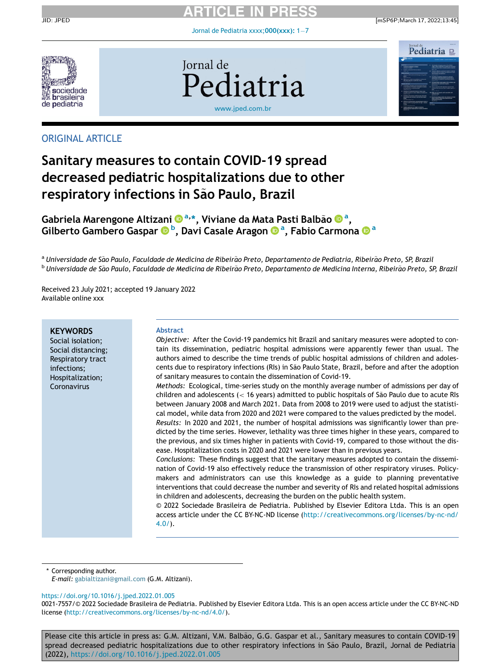[Jornal de Pediatria xxxx;](https://doi.org/10.1016/j.jped.2022.01.005) $000(xxx)$ : 1-[7](https://doi.org/10.1016/j.jped.2022.01.005)







## ORIGINAL ARTICLE

# Sanitary measures to contain COVID-19 spread decreased pediatric hospitalizations due to other respiratory infections in São Paulo, Brazil

# Gabriela Mareng[o](http://orcid.org/0000-0001-6765-7531)ne Altiz[a](http://orcid.org/0000-0001-6765-7531)ni ® ª[,](http://orcid.org/0000-0001-6765-7531)\*, Viviane da Mata Pasti Balbão ® ª, [Gilberto Gambero Gaspar](http://orcid.org/0000-0002-6804-454X) O[b](http://orcid.org/0000-0002-6804-454X)[, Davi Casale Aragon](http://orcid.org/0000-0003-1019-3654) O[a](http://orcid.org/0000-0001-5743-0325)[, Fabio Carmona](http://orcid.org/0000-0001-5743-0325) Oa

a Universidade de São Paulo, Faculdade de Medicina de Ribeirão Preto, Departamento de Pediatria, Ribeirão Preto, SP, Brazil <sup>b</sup> Universidade de São Paulo, Faculdade de Medicina de Ribeirão Preto, Departamento de Medicina Interna, Ribeirão Preto, SP, Brazil

Received 23 July 2021; accepted 19 January 2022 Available online xxx

#### Abstract Objective: After the Covid-19 pandemics hit Brazil and sanitary measures were adopted to contain its dissemination, pediatric hospital admissions were apparently fewer than usual. The authors aimed to describe the time trends of public hospital admissions of children and adolescents due to respiratory infections (RIs) in Sao Paulo State, Brazil, before and after the adoption ~ of sanitary measures to contain the dissemination of Covid-19. Methods: Ecological, time-series study on the monthly average number of admissions per day of children and adolescents ( $<$  16 years) admitted to public hospitals of São Paulo due to acute RIs between January 2008 and March 2021. Data from 2008 to 2019 were used to adjust the statistical model, while data from 2020 and 2021 were compared to the values predicted by the model. Results: In 2020 and 2021, the number of hospital admissions was significantly lower than predicted by the time series. However, lethality was three times higher in these years, compared to the previous, and six times higher in patients with Covid-19, compared to those without the disease. Hospitalization costs in 2020 and 2021 were lower than in previous years. Conclusions: These findings suggest that the sanitary measures adopted to contain the dissemination of Covid-19 also effectively reduce the transmission of other respiratory viruses. Policymakers and administrators can use this knowledge as a guide to planning preventative interventions that could decrease the number and severity of RIs and related hospital admissions in children and adolescents, decreasing the burden on the public health system. © 2022 Sociedade Brasileira de Pediatria. Published by Elsevier Editora Ltda. This is an open access article under the CC BY-NC-ND license [\(http://creativecommons.org/licenses/by-nc-nd/](http://creativecommons.org/licenses/by-nc-nd/4.0/) [4.0/\)](http://creativecommons.org/licenses/by-nc-nd/4.0/). **KEYWORDS** Social isolation; Social distancing; Respiratory tract infections; Hospitalization; Coronavirus

\* Corresponding author.

E-mail: [gabialtizani@gmail.com](mailto:gabialtizani@gmail.com) (G.M. Altizani).

<https://doi.org/10.1016/j.jped.2022.01.005>

Please cite this article in press as: G.M. Altizani, V.M. Balbão, G.G. Gaspar et al., Sanitary measures to contain COVID-19 spread decreased pediatric hospitalizations due to other respiratory infections in São Paulo, Brazil, Jornal de Pediatria (2022), <https://doi.org/10.1016/j.jped.2022.01.005>

<sup>0021-7557/© 2022</sup> Sociedade Brasileira de Pediatria. Published by Elsevier Editora Ltda. This is an open access article under the CC BY-NC-ND license ([http://creativecommons.org/licenses/by-nc-nd/4.0/\)](http://creativecommons.org/licenses/by-nc-nd/4.0/).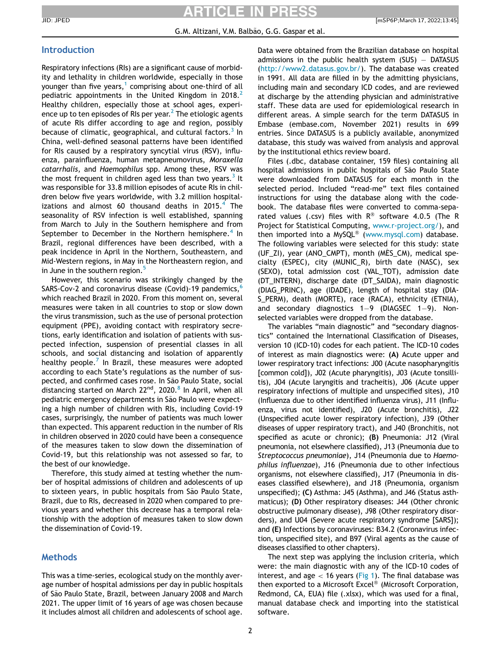# ICI E IN I

#### G.M. Altizani, V.M. Balbão, G.G. Gaspar et al.

### Introduction

Respiratory infections (RIs) are a significant cause of morbidity and lethality in children worldwide, especially in those younger than five years,<sup>[1](#page-6-0)</sup> comprising about one-third of all pediatric appointments in the United Kingdom in  $2018<sup>2</sup>$  $2018<sup>2</sup>$ Healthy children, especially those at school ages, experience up to ten episodes of RIs per year. $^2$  $^2$  The etiologic agents of acute RIs differ according to age and region, possibly because of climatic, geographical, and cultural factors. $^3$  $^3$  In China, well-defined seasonal patterns have been identified for RIs caused by a respiratory syncytial virus (RSV), influenza, parainfluenza, human metapneumovirus, Moraxella catarrhalis, and Haemophilus spp. Among these, RSV was the most frequent in children aged less than two years.<sup>[3](#page-6-2)</sup> It was responsible for 33.8 million episodes of acute RIs in children below five years worldwide, with 3.2 million hospitalizations and almost 60 thousand deaths in 2015. $^4$  $^4$  The seasonality of RSV infection is well established, spanning from March to July in the Southern hemisphere and from September to December in the Northern hemisphere.<sup>[4](#page-6-3)</sup> In Brazil, regional differences have been described, with a peak incidence in April in the Northern, Southeastern, and Mid-Western regions, in May in the Northeastern region, and in June in the southern region.<sup>[5](#page-6-4)</sup>

However, this scenario was strikingly changed by the SARS-Cov-2 and coronavirus disease (Covid)-19 pandemics,<sup>[6](#page-6-5)</sup> which reached Brazil in 2020. From this moment on, several measures were taken in all countries to stop or slow down the virus transmission, such as the use of personal protection equipment (PPE), avoiding contact with respiratory secretions, early identification and isolation of patients with suspected infection, suspension of presential classes in all schools, and social distancing and isolation of apparently healthy people.<sup>[7](#page-6-6)</sup> In Brazil, these measures were adopted according to each State's regulations as the number of suspected, and confirmed cases rose. In São Paulo State, social distancing started on March 22<sup>nd</sup>, 2020.<sup>[8](#page-6-7)</sup> In April, when all pediatric emergency departments in São Paulo were expecting a high number of children with RIs, including Covid-19 cases, surprisingly, the number of patients was much lower than expected. This apparent reduction in the number of RIs in children observed in 2020 could have been a consequence of the measures taken to slow down the dissemination of Covid-19, but this relationship was not assessed so far, to the best of our knowledge.

Therefore, this study aimed at testing whether the number of hospital admissions of children and adolescents of up to sixteen years, in public hospitals from São Paulo State, Brazil, due to RIs, decreased in 2020 when compared to previous years and whether this decrease has a temporal relationship with the adoption of measures taken to slow down the dissemination of Covid-19.

### **Methods**

This was a time-series, ecological study on the monthly average number of hospital admissions per day in public hospitals of São Paulo State, Brazil, between January 2008 and March 2021. The upper limit of 16 years of age was chosen because it includes almost all children and adolescents of school age.

Data were obtained from the Brazilian database on hospital admissions in the public health system  $(SUS)$  - DATASUS (<http://www2.datasus.gov.br/>). The database was created in 1991. All data are filled in by the admitting physicians, including main and secondary ICD codes, and are reviewed at discharge by the attending physician and administrative staff. These data are used for epidemiological research in different areas. A simple search for the term DATASUS in Embase (embase.com, November 2021) results in 699 entries. Since DATASUS is a publicly available, anonymized database, this study was waived from analysis and approval by the institutional ethics review board.

Files (.dbc, database container, 159 files) containing all hospital admissions in public hospitals of São Paulo State were downloaded from DATASUS for each month in the selected period. Included "read-me" text files contained instructions for using the database along with the codebook. The database files were converted to comma-separated values (.csv) files with  $R^{\circledast}$  software 4.0.5 (The R Project for Statistical Computing, [www.r-project.org/](http://www.r-project.org/)), and then imported into a MySQL® ([www.mysql.com\)](http://www.mysql.com) database. The following variables were selected for this study: state (UF  $ZI$ ), year (ANO CMPT), month (MES CM), medical specialty (ESPEC), city (MUNIC\_R), birth date (NASC), sex (SEXO), total admission cost (VAL\_TOT), admission date (DT\_INTERN), discharge date (DT\_SAIDA), main diagnostic (DIAG\_PRINC), age (IDADE), length of hospital stay (DIA-S PERM), death (MORTE), race (RACA), ethnicity (ETNIA), and secondary diagnostics  $1-9$  (DIAGSEC  $1-9$ ). Nonselected variables were dropped from the database.

The variables "main diagnostic" and "secondary diagnostics" contained the International Classification of Diseases, version 10 (ICD-10) codes for each patient. The ICD-10 codes of interest as main diagnostics were: (A) Acute upper and lower respiratory tract infections: J00 (Acute nasopharyngitis [common cold]), J02 (Acute pharyngitis), J03 (Acute tonsillitis), J04 (Acute laryngitis and tracheitis), J06 (Acute upper respiratory infections of multiple and unspecified sites), J10 (Influenza due to other identified influenza virus), J11 (Influenza, virus not identified), J20 (Acute bronchitis), J22 (Unspecified acute lower respiratory infection), J39 (Other diseases of upper respiratory tract), and J40 (Bronchitis, not specified as acute or chronic); (B) Pneumonia: J12 (Viral pneumonia, not elsewhere classified), J13 (Pneumonia due to Streptococcus pneumoniae), J14 (Pneumonia due to Haemophilus influenzae), J16 (Pneumonia due to other infectious organisms, not elsewhere classified), J17 (Pneumonia in diseases classified elsewhere), and J18 (Pneumonia, organism unspecified); (C) Asthma: J45 (Asthma), and J46 (Status asthmaticus); (D) Other respiratory diseases: J44 (Other chronic obstructive pulmonary disease), J98 (Other respiratory disorders), and U04 (Severe acute respiratory syndrome [SARS]); and (E) Infections by coronaviruses: B34.2 (Coronavirus infection, unspecified site), and B97 (Viral agents as the cause of diseases classified to other chapters).

The next step was applying the inclusion criteria, which were: the main diagnostic with any of the ICD-10 codes of interest, and age  $<$  16 years [\(Fig 1](#page-2-0)). The final database was then exported to a Microsoft Excel® (Microsoft Corporation, Redmond, CA, EUA) file (.xlsx), which was used for a final, manual database check and importing into the statistical software.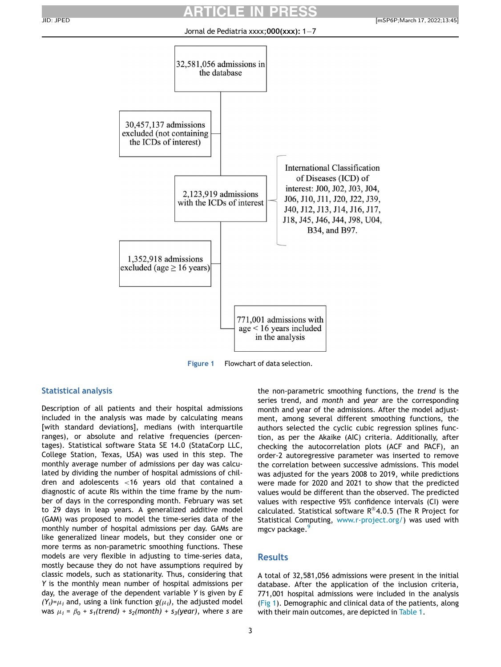<span id="page-2-0"></span>

Figure 1 Flowchart of data selection.

### Statistical analysis

Description of all patients and their hospital admissions included in the analysis was made by calculating means [with standard deviations], medians (with interquartile ranges), or absolute and relative frequencies (percentages). Statistical software Stata SE 14.0 (StataCorp LLC, College Station, Texas, USA) was used in this step. The monthly average number of admissions per day was calculated by dividing the number of hospital admissions of children and adolescents <16 years old that contained a diagnostic of acute RIs within the time frame by the number of days in the corresponding month. February was set to 29 days in leap years. A generalized additive model (GAM) was proposed to model the time-series data of the monthly number of hospital admissions per day. GAMs are like generalized linear models, but they consider one or more terms as non-parametric smoothing functions. These models are very flexible in adjusting to time-series data, mostly because they do not have assumptions required by classic models, such as stationarity. Thus, considering that Y is the monthly mean number of hospital admissions per day, the average of the dependent variable Y is given by E  $(Y_i)=\mu_i$  and, using a link function  $g(\mu_i)$ , the adjusted model was  $\mu_i = \beta_0 + s_1$ (trend) + s<sub>2</sub>(month) + s<sub>3</sub>(year), where s are

the non-parametric smoothing functions, the trend is the series trend, and month and year are the corresponding month and year of the admissions. After the model adjustment, among several different smoothing functions, the authors selected the cyclic cubic regression splines function, as per the Akaike (AIC) criteria. Additionally, after checking the autocorrelation plots (ACF and PACF), an order-2 autoregressive parameter was inserted to remove the correlation between successive admissions. This model was adjusted for the years 2008 to 2019, while predictions were made for 2020 and 2021 to show that the predicted values would be different than the observed. The predicted values with respective 95% confidence intervals (CI) were calculated. Statistical software  $R^{\otimes}4.0.5$  (The R Project for Statistical Computing, [www.r-project.org/](http://www.r-project.org/)) was used with mgcv package.

### Results

A total of 32,581,056 admissions were present in the initial database. After the application of the inclusion criteria, 771,001 hospital admissions were included in the analysis ([Fig 1\)](#page-2-0). Demographic and clinical data of the patients, along with their main outcomes, are depicted in [Table 1.](#page-3-0)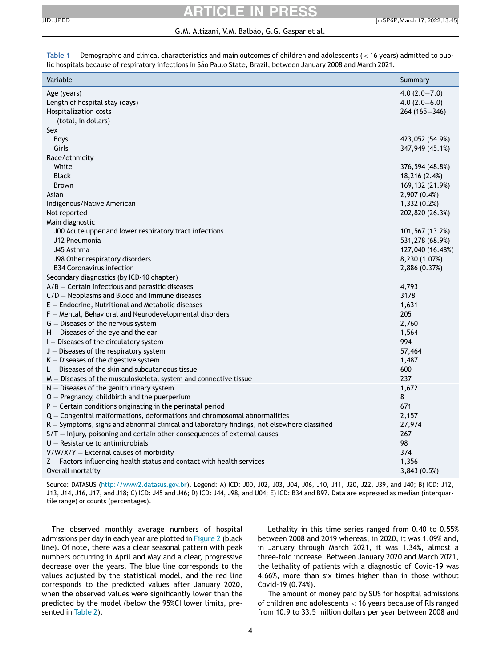### G.M. Altizani, V.M. Balbão, G.G. Gaspar et al.

<span id="page-3-0"></span>Table 1 Demographic and clinical characteristics and main outcomes of children and adolescents (< 16 years) admitted to public hospitals because of respiratory infections in São Paulo State, Brazil, between January 2008 and March 2021.

| Variable                                                                                    | Summary          |
|---------------------------------------------------------------------------------------------|------------------|
| Age (years)                                                                                 | $4.0(2.0 - 7.0)$ |
| Length of hospital stay (days)                                                              | $4.0(2.0-6.0)$   |
| Hospitalization costs                                                                       | $264(165 - 346)$ |
| (total, in dollars)                                                                         |                  |
| Sex                                                                                         |                  |
| Boys                                                                                        | 423,052 (54.9%)  |
| Girls                                                                                       | 347,949 (45.1%)  |
| Race/ethnicity                                                                              |                  |
| White                                                                                       | 376,594 (48.8%)  |
| <b>Black</b>                                                                                | 18,216 (2.4%)    |
| <b>Brown</b>                                                                                | 169,132 (21.9%)  |
| Asian                                                                                       | 2,907(0.4%)      |
| Indigenous/Native American                                                                  | 1,332(0.2%)      |
| Not reported                                                                                | 202,820 (26.3%)  |
| Main diagnostic                                                                             |                  |
| J00 Acute upper and lower respiratory tract infections                                      | 101,567 (13.2%)  |
| J12 Pneumonia                                                                               | 531,278 (68.9%)  |
| J45 Asthma                                                                                  | 127,040 (16.48%) |
| J98 Other respiratory disorders                                                             | 8,230 (1.07%)    |
| <b>B34 Coronavirus infection</b>                                                            | 2,886 (0.37%)    |
| Secondary diagnostics (by ICD-10 chapter)                                                   |                  |
| $A/B$ – Certain infectious and parasitic diseases                                           | 4,793            |
| $C/D$ – Neoplasms and Blood and Immune diseases                                             | 3178             |
| E - Endocrine, Nutritional and Metabolic diseases                                           | 1,631            |
| $F$ – Mental, Behavioral and Neurodevelopmental disorders                                   | 205              |
| G - Diseases of the nervous system                                                          | 2,760            |
| $H -$ Diseases of the eye and the ear                                                       | 1,564            |
| $I$ – Diseases of the circulatory system                                                    | 994              |
| J - Diseases of the respiratory system                                                      | 57,464           |
| $K -$ Diseases of the digestive system                                                      | 1,487            |
| $L -$ Diseases of the skin and subcutaneous tissue                                          | 600              |
| $M -$ Diseases of the musculoskeletal system and connective tissue                          | 237              |
| $N -$ Diseases of the genitourinary system                                                  | 1,672            |
| O - Pregnancy, childbirth and the puerperium                                                | 8                |
| $P$ – Certain conditions originating in the perinatal period                                | 671              |
| $Q$ – Congenital malformations, deformations and chromosomal abnormalities                  | 2,157            |
| R - Symptoms, signs and abnormal clinical and laboratory findings, not elsewhere classified | 27,974           |
| S/T - Injury, poisoning and certain other consequences of external causes                   | 267              |
| $U$ – Resistance to antimicrobials                                                          | 98               |
| V/W/X/Y - External causes of morbidity                                                      | 374              |
| Z - Factors influencing health status and contact with health services                      | 1,356            |
| Overall mortality                                                                           | 3,843(0.5%)      |

Source: DATASUS [\(http://www2.datasus.gov.br](http://www2.datasus.gov.br)). Legend: A) ICD: J00, J02, J03, J04, J06, J10, J11, J20, J22, J39, and J40; B) ICD: J12, J13, J14, J16, J17, and J18; C) ICD: J45 and J46; D) ICD: J44, J98, and U04; E) ICD: B34 and B97. Data are expressed as median (interquartile range) or counts (percentages).

The observed monthly average numbers of hospital admissions per day in each year are plotted in [Figure 2](#page-4-0) (black line). Of note, there was a clear seasonal pattern with peak numbers occurring in April and May and a clear, progressive decrease over the years. The blue line corresponds to the values adjusted by the statistical model, and the red line corresponds to the predicted values after January 2020, when the observed values were significantly lower than the predicted by the model (below the 95%CI lower limits, presented in [Table 2\)](#page-4-1).

Lethality in this time series ranged from 0.40 to 0.55% between 2008 and 2019 whereas, in 2020, it was 1.09% and, in January through March 2021, it was 1.34%, almost a three-fold increase. Between January 2020 and March 2021, the lethality of patients with a diagnostic of Covid-19 was 4.66%, more than six times higher than in those without Covid-19 (0.74%).

The amount of money paid by SUS for hospital admissions of children and adolescents < 16 years because of RIs ranged from 10.9 to 33.5 million dollars per year between 2008 and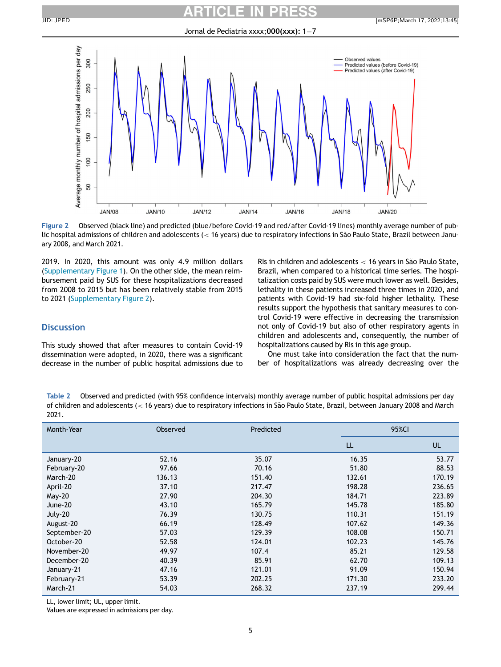#### Jornal de Pediatria xxxx;  $000$ (xxx); 1-7

<span id="page-4-0"></span>

Figure 2 Observed (black line) and predicted (blue/before Covid-19 and red/after Covid-19 lines) monthly average number of public hospital admissions of children and adolescents (< 16 years) due to respiratory infections in São Paulo State, Brazil between January 2008, and March 2021.

2019. In 2020, this amount was only 4.9 million dollars ([Supplementary Figure 1](#page-6-9)). On the other side, the mean reimbursement paid by SUS for these hospitalizations decreased from 2008 to 2015 but has been relatively stable from 2015 to 2021 [\(Supplementary Figure 2\)](#page-6-9).

### **Discussion**

This study showed that after measures to contain Covid-19 dissemination were adopted, in 2020, there was a significant decrease in the number of public hospital admissions due to

RIs in children and adolescents  $<$  16 years in São Paulo State, Brazil, when compared to a historical time series. The hospitalization costs paid by SUS were much lower as well. Besides, lethality in these patients increased three times in 2020, and patients with Covid-19 had six-fold higher lethality. These results support the hypothesis that sanitary measures to control Covid-19 were effective in decreasing the transmission not only of Covid-19 but also of other respiratory agents in children and adolescents and, consequently, the number of hospitalizations caused by RIs in this age group.

One must take into consideration the fact that the number of hospitalizations was already decreasing over the

<span id="page-4-1"></span>Table 2 Observed and predicted (with 95% confidence intervals) monthly average number of public hospital admissions per day of children and adolescents (< 16 years) due to respiratory infections in Sao Paulo State, Brazil, between January 2008 and March ~ 2021.

| Month-Year   | Observed | Predicted | 95%CI  |           |
|--------------|----------|-----------|--------|-----------|
|              |          |           | LL     | <b>UL</b> |
| January-20   | 52.16    | 35.07     | 16.35  | 53.77     |
| February-20  | 97.66    | 70.16     | 51.80  | 88.53     |
| March-20     | 136.13   | 151.40    | 132.61 | 170.19    |
| April-20     | 37.10    | 217.47    | 198.28 | 236.65    |
| $May-20$     | 27.90    | 204.30    | 184.71 | 223.89    |
| June-20      | 43.10    | 165.79    | 145.78 | 185.80    |
| July-20      | 76.39    | 130.75    | 110.31 | 151.19    |
| August-20    | 66.19    | 128.49    | 107.62 | 149.36    |
| September-20 | 57.03    | 129.39    | 108.08 | 150.71    |
| October-20   | 52.58    | 124.01    | 102.23 | 145.76    |
| November-20  | 49.97    | 107.4     | 85.21  | 129.58    |
| December-20  | 40.39    | 85.91     | 62.70  | 109.13    |
| January-21   | 47.16    | 121.01    | 91.09  | 150.94    |
| February-21  | 53.39    | 202.25    | 171.30 | 233.20    |
| March-21     | 54.03    | 268.32    | 237.19 | 299.44    |

LL, lower limit; UL, upper limit.

Values are expressed in admissions per day.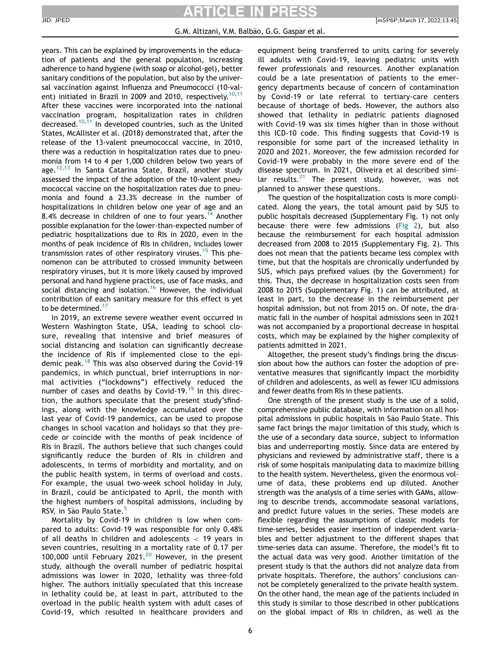years. This can be explained by improvements in the education of patients and the general population, increasing adherence to hand hygiene (with soap or alcohol-gel), better sanitary conditions of the population, but also by the universal vaccination against Influenza and Pneumococci (10-val-ent) initiated in Brazil in 2009 and 20[10](#page-6-10), respectively.<sup>10,[11](#page-6-11)</sup> After these vaccines were incorporated into the national vaccination program, hospitalization rates in children decreased.<sup>[10](#page-6-10),[11](#page-6-11)</sup> In developed countries, such as the United States, McAllister et al. (2018) demonstrated that, after the release of the 13-valent pneumococcal vaccine, in 2010, there was a reduction in hospitalization rates due to pneumonia from 14 to 4 per 1,000 children below two years of age. $12,13$  $12,13$  In Santa Catarina State, Brazil, another study assessed the impact of the adoption of the 10-valent pneumococcal vaccine on the hospitalization rates due to pneumonia and found a 23.3% decrease in the number of hospitalizations in children below one year of age and an 8.4% decrease in children of one to four years.<sup>[14](#page-6-14)</sup> Another possible explanation for the lower-than-expected number of pediatric hospitalizations due to RIs in 2020, even in the months of peak incidence of RIs in children, includes lower transmission rates of other respiratory viruses.<sup>[15](#page-6-15)</sup> This phenomenon can be attributed to crossed immunity between respiratory viruses, but it is more likely caused by improved personal and hand hygiene practices, use of face masks, and social distancing and isolation.<sup>[16](#page-6-16)</sup> However, the individual contribution of each sanitary measure for this effect is yet to be determined.<sup>[17](#page-6-17)</sup>

In 2019, an extreme severe weather event occurred in Western Washington State, USA, leading to school closure, revealing that intensive and brief measures of social distancing and isolation can significantly decrease the incidence of RIs if implemented close to the epi-demic peak.<sup>[18](#page-6-18)</sup> This was also observed during the Covid-19 pandemics, in which punctual, brief interruptions in normal activities ("lockdowns") effectively reduced the number of cases and deaths by Covid-[19](#page-6-19).<sup>19</sup> In this direction, the authors speculate that the present study'sfindings, along with the knowledge accumulated over the last year of Covid-19 pandemics, can be used to propose changes in school vacation and holidays so that they precede or coincide with the months of peak incidence of RIs in Brazil. The authors believe that such changes could significantly reduce the burden of RIs in children and adolescents, in terms of morbidity and mortality, and on the public health system, in terms of overload and costs. For example, the usual two-week school holiday in July, in Brazil, could be anticipated to April, the month with the highest numbers of hospital admissions, including by RSV, in São Paulo State.<sup>[5](#page-6-4)</sup>

Mortality by Covid-19 in children is low when compared to adults: Covid-19 was responsible for only 0.48% of all deaths in children and adolescents < 19 years in seven countries, resulting in a mortality rate of 0.17 per 100,000 until February [20](#page-6-20)21.<sup>20</sup> However, in the present study, although the overall number of pediatric hospital admissions was lower in 2020, lethality was three-fold higher. The authors initially speculated that this increase in lethality could be, at least in part, attributed to the overload in the public health system with adult cases of Covid-19, which resulted in healthcare providers and equipment being transferred to units caring for severely ill adults with Covid-19, leaving pediatric units with fewer professionals and resources. Another explanation could be a late presentation of patients to the emergency departments because of concern of contamination by Covid-19 or late referral to tertiary-care centers because of shortage of beds. However, the authors also showed that lethality in pediatric patients diagnosed with Covid-19 was six times higher than in those without this ICD-10 code. This finding suggests that Covid-19 is responsible for some part of the increased lethality in 2020 and 2021. Moreover, the few admission recorded for Covid-19 were probably in the more severe end of the disease spectrum. In 2021, Oliveira et al described simi-lar results.<sup>[21](#page-6-21)</sup> The present study, however, was not planned to answer these questions.

The question of the hospitalization costs is more complicated. Along the years, the total amount paid by SUS to public hospitals decreased (Supplementary Fig. 1) not only because there were few admissions ([Fig 2\)](#page-4-0), but also because the reimbursement for each hospital admission decreased from 2008 to 2015 (Supplementary Fig. 2). This does not mean that the patients became less complex with time, but that the hospitals are chronically underfunded by SUS, which pays prefixed values (by the Government) for this. Thus, the decrease in hospitalization costs seen from 2008 to 2015 (Supplementary Fig. 1) can be attributed, at least in part, to the decrease in the reimbursement per hospital admission, but not from 2015 on. Of note, the dramatic fall in the number of hospital admissions seen in 2021 was not accompanied by a proportional decrease in hospital costs, which may be explained by the higher complexity of patients admitted in 2021.

Altogether, the present study's findings bring the discussion about how the authors can foster the adoption of preventative measures that significantly impact the morbidity of children and adolescents, as well as fewer ICU admissions and fewer deaths from RIs in these patients.

One strength of the present study is the use of a solid, comprehensive public database, with information on all hospital admissions in public hospitals in São Paulo State. This same fact brings the major limitation of this study, which is the use of a secondary data source, subject to information bias and underreporting mostly. Since data are entered by physicians and reviewed by administrative staff, there is a risk of some hospitals manipulating data to maximize billing to the health system. Nevertheless, given the enormous volume of data, these problems end up diluted. Another strength was the analysis of a time series with GAMs, allowing to describe trends, accommodate seasonal variations, and predict future values in the series. These models are flexible regarding the assumptions of classic models for time-series, besides easier insertion of independent variables and better adjustment to the different shapes that time-series data can assume. Therefore, the model's fit to the actual data was very good. Another limitation of the present study is that the authors did not analyze data from private hospitals. Therefore, the authors' conclusions cannot be completely generalized to the private health system. On the other hand, the mean age of the patients included in this study is similar to those described in other publications on the global impact of RIs in children, as well as the